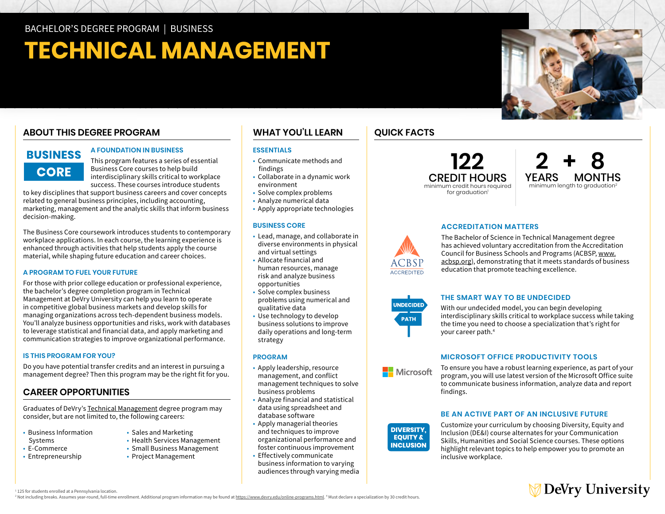# **TECHNICAL MANAGEMENT**

# **ABOUT THIS DEGREE PROGRAM**

# **BUSINESS CORE**

#### **A FOUNDATION IN BUSINESS**

This program features a series of essential Business Core courses to help build interdisciplinary skills critical to workplace success. These courses introduce students

to key disciplines that support business careers and cover concepts related to general business principles, including accounting, marketing, management and the analytic skills that inform business decision-making.

The Business Core coursework introduces students to contemporary workplace applications. In each course, the learning experience is enhanced through activities that help students apply the course material, while shaping future education and career choices.

#### **A PROGRAM TO FUEL YOUR FUTURE**

For those with prior college education or professional experience, the bachelor's degree completion program in Technical Management at DeVry University can help you learn to operate in competitive global business markets and develop skills for managing organizations across tech-dependent business models. You'll analyze business opportunities and risks, work with databases to leverage statistical and financial data, and apply marketing and communication strategies to improve organizational performance.

#### **IS THIS PROGRAM FOR YOU?**

Do you have potential transfer credits and an interest in pursuing a management degree? Then this program may be the right fit for you.

## **CAREER OPPORTUNITIES**

Graduates of DeVry's [Technical Management](https://www.devry.edu/online-programs/bachelors-degrees/technical-management.html) degree program may consider, but are not limited to, the following careers:

- Business Information Systems
- E-Commerce
- Entrepreneurship
- Sales and Marketing
- Health Services Management
- Small Business Management
- Project Management

## **WHAT YOU'LL LEARN**

#### **ESSENTIALS**

- Communicate methods and findings
- • Collaborate in a dynamic work environment
- Solve complex problems
- Analyze numerical data
- Apply appropriate technologies

#### **BUSINESS CORE**

- • Lead, manage, and collaborate in and virtual settings and virtual settings • Allocate financial and diverse environments in physical
- opportunities human resources, manage risk and analyze business
- opportunities Solve complex business problems using numerical and qualitative data
- • Use technology to develop business solutions to improve daily operations and long-term strategy

#### **PROGRAM**

- • Apply leadership, resource business problems management, and conflict management techniques to solve
- business problems Analyze financial and statistical data using spreadsheet and database software
- • Apply managerial theories and techniques to improve organizational performance and foster continuous improvement
- • Effectively communicate business information to varying audiences through varying media

## **QUICK FACTS**

**122**  CREDIT HOURS minimum credit hours required for graduation<sup>1</sup>



#### **ACCREDITATION MATTERS**

The Bachelor of Science in Technical Management degree has achieved voluntary accreditation from the Accreditation Council for Business Schools and Programs (ACBSP, [www.](http://www.acbsp.org) [acbsp.org](http://www.acbsp.org)), demonstrating that it meets standards of business education that promote teaching excellence.



#### **THE SMART WAY TO BE UNDECIDED**

With our undecided model, you can begin developing interdisciplinary skills critical to workplace success while taking the time you need to choose a specialization that's right for your career path.4

#### **MICROSOFT OFFICE PRODUCTIVITY TOOLS**

**Nicrosoft** 

**DIVERSITY. EQUITY & INCLUSION**  To ensure you have a robust learning experience, as part of your program, you will use latest version of the Microsoft Office suite to communicate business information, analyze data and report findings.

#### **BE AN ACTIVE PART OF AN INCLUSIVE FUTURE**

Customize your curriculum by choosing Diversity, Equity and Inclusion (DE&I) course alternates for your Communication Skills, Humanities and Social Science courses. These options highlight relevant topics to help empower you to promote an inclusive workplace.



<sup>1</sup> 125 for students enrolled at a Pennsylvania location.

<sup>2</sup> Not including breaks. Assumes year-round, full-time enrollment. Additional program information may be found at <u>https://www.devry.edu/online-programs.html</u>. <sup>4</sup> Must declare a specialization by 30 credit hours.